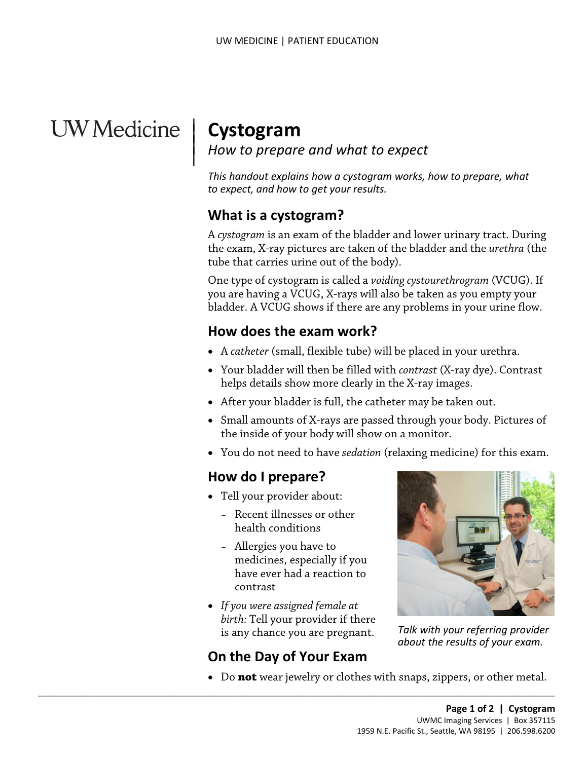# UW Medicine | Cystogram

<sup>|</sup>**Cystogram** | *How to prepare and what to expect* <sup>|</sup>

 *to expect, and how to get your results. This handout explains how a cystogram works, how to prepare, what* 

## **What is a cystogram?**

 tube that carries urine out of the body). A *cystogram* is an exam of the bladder and lower urinary tract. During the exam, X-ray pictures are taken of the bladder and the *urethra* (the

 One type of cystogram is called a *voiding cystourethrogram* (VCUG). If you are having a VCUG, X-rays will also be taken as you empty your bladder. A VCUG shows if there are any problems in your urine flow.

# **How does the exam work?**

- A *[catheter](javascript:glossAry()* (small, flexible tube) will be placed in your [urethra.](javascript:glossAry()
- Your bladder will then be filled with *[contrast](javascript:glossAry()* (X-ray dye). Contrast helps details show more clearly in the X-ray images.
- After your bladder is full, the catheter may be taken out.
- the inside of your body will show on a monitor. • Small amounts of X-rays are passed through your body. Pictures of
- You do not need to have *sedation* (relaxing medicine) for this exam.

# **How do I prepare?**

- Tell your provider about:
	- health conditions – Recent illnesses or other
	- Allergies you have to medicines, especially if you have ever had a reaction to contrast
- *If you were assigned female at birth:* Tell your provider if there is any chance you are pregnant.

# **On the Day of Your Exam**

 $\_$  ,  $\_$  ,  $\_$  ,  $\_$  ,  $\_$  ,  $\_$  ,  $\_$  ,  $\_$  ,  $\_$  ,  $\_$  ,  $\_$  ,  $\_$  ,  $\_$  ,  $\_$  ,  $\_$  ,  $\_$  ,  $\_$  ,  $\_$  ,  $\_$  ,  $\_$  ,  $\_$  ,  $\_$  ,  $\_$  ,  $\_$  ,  $\_$  ,  $\_$  ,  $\_$  ,  $\_$  ,  $\_$  ,  $\_$  ,  $\_$  ,  $\_$  ,  $\_$  ,  $\_$  ,  $\_$  ,  $\_$  ,  $\_$  ,



*Talk with your referring provider about the results of your exam.* 

• Do **not** wear jewelry or clothes with snaps, zippers, or other metal.